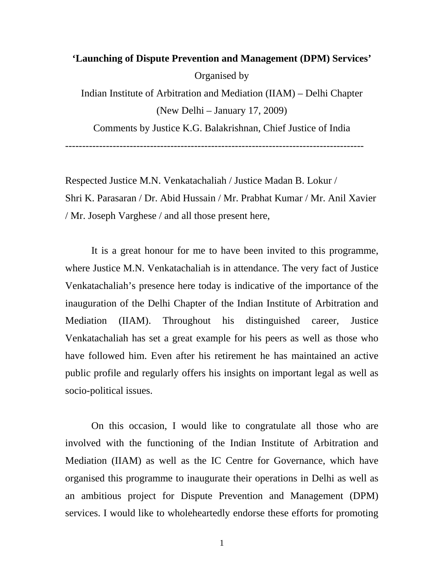## **'Launching of Dispute Prevention and Management (DPM) Services'**  Organised by Indian Institute of Arbitration and Mediation (IIAM) – Delhi Chapter (New Delhi – January 17, 2009)

Comments by Justice K.G. Balakrishnan, Chief Justice of India

----------------------------------------------------------------------------------------

Respected Justice M.N. Venkatachaliah / Justice Madan B. Lokur / Shri K. Parasaran / Dr. Abid Hussain / Mr. Prabhat Kumar / Mr. Anil Xavier / Mr. Joseph Varghese / and all those present here,

It is a great honour for me to have been invited to this programme, where Justice M.N. Venkatachaliah is in attendance. The very fact of Justice Venkatachaliah's presence here today is indicative of the importance of the inauguration of the Delhi Chapter of the Indian Institute of Arbitration and Mediation (IIAM). Throughout his distinguished career, Justice Venkatachaliah has set a great example for his peers as well as those who have followed him. Even after his retirement he has maintained an active public profile and regularly offers his insights on important legal as well as socio-political issues.

On this occasion, I would like to congratulate all those who are involved with the functioning of the Indian Institute of Arbitration and Mediation (IIAM) as well as the IC Centre for Governance, which have organised this programme to inaugurate their operations in Delhi as well as an ambitious project for Dispute Prevention and Management (DPM) services. I would like to wholeheartedly endorse these efforts for promoting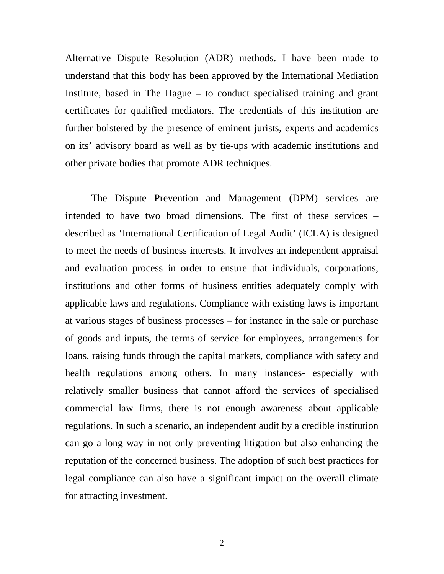Alternative Dispute Resolution (ADR) methods. I have been made to understand that this body has been approved by the International Mediation Institute, based in The Hague – to conduct specialised training and grant certificates for qualified mediators. The credentials of this institution are further bolstered by the presence of eminent jurists, experts and academics on its' advisory board as well as by tie-ups with academic institutions and other private bodies that promote ADR techniques.

The Dispute Prevention and Management (DPM) services are intended to have two broad dimensions. The first of these services – described as 'International Certification of Legal Audit' (ICLA) is designed to meet the needs of business interests. It involves an independent appraisal and evaluation process in order to ensure that individuals, corporations, institutions and other forms of business entities adequately comply with applicable laws and regulations. Compliance with existing laws is important at various stages of business processes – for instance in the sale or purchase of goods and inputs, the terms of service for employees, arrangements for loans, raising funds through the capital markets, compliance with safety and health regulations among others. In many instances- especially with relatively smaller business that cannot afford the services of specialised commercial law firms, there is not enough awareness about applicable regulations. In such a scenario, an independent audit by a credible institution can go a long way in not only preventing litigation but also enhancing the reputation of the concerned business. The adoption of such best practices for legal compliance can also have a significant impact on the overall climate for attracting investment.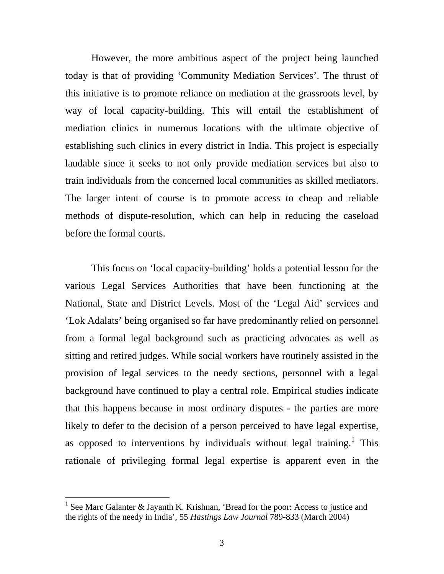However, the more ambitious aspect of the project being launched today is that of providing 'Community Mediation Services'. The thrust of this initiative is to promote reliance on mediation at the grassroots level, by way of local capacity-building. This will entail the establishment of mediation clinics in numerous locations with the ultimate objective of establishing such clinics in every district in India. This project is especially laudable since it seeks to not only provide mediation services but also to train individuals from the concerned local communities as skilled mediators. The larger intent of course is to promote access to cheap and reliable methods of dispute-resolution, which can help in reducing the caseload before the formal courts.

This focus on 'local capacity-building' holds a potential lesson for the various Legal Services Authorities that have been functioning at the National, State and District Levels. Most of the 'Legal Aid' services and 'Lok Adalats' being organised so far have predominantly relied on personnel from a formal legal background such as practicing advocates as well as sitting and retired judges. While social workers have routinely assisted in the provision of legal services to the needy sections, personnel with a legal background have continued to play a central role. Empirical studies indicate that this happens because in most ordinary disputes - the parties are more likely to defer to the decision of a person perceived to have legal expertise, as opposed to interventions by individuals without legal training.<sup>[1](#page-2-0)</sup> This rationale of privileging formal legal expertise is apparent even in the

 $\overline{a}$ 

<span id="page-2-0"></span><sup>&</sup>lt;sup>1</sup> See Marc Galanter & Jayanth K. Krishnan, 'Bread for the poor: Access to justice and the rights of the needy in India', 55 *Hastings Law Journal* 789-833 (March 2004)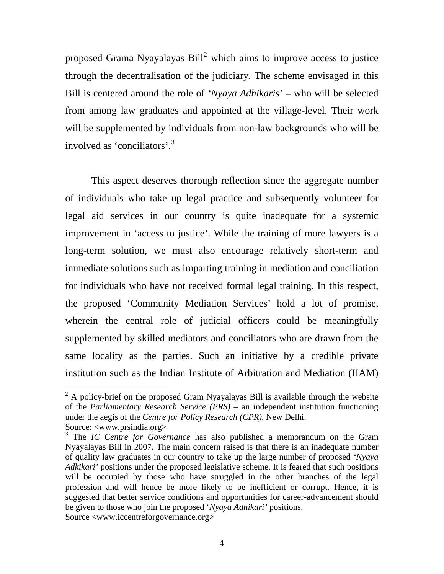proposed Grama Nyayalayas  $Bill^2$  $Bill^2$  which aims to improve access to justice through the decentralisation of the judiciary. The scheme envisaged in this Bill is centered around the role of *'Nyaya Adhikaris'* – who will be selected from among law graduates and appointed at the village-level. Their work will be supplemented by individuals from non-law backgrounds who will be involved as 'conciliators'.[3](#page-3-1)

This aspect deserves thorough reflection since the aggregate number of individuals who take up legal practice and subsequently volunteer for legal aid services in our country is quite inadequate for a systemic improvement in 'access to justice'. While the training of more lawyers is a long-term solution, we must also encourage relatively short-term and immediate solutions such as imparting training in mediation and conciliation for individuals who have not received formal legal training. In this respect, the proposed 'Community Mediation Services' hold a lot of promise, wherein the central role of judicial officers could be meaningfully supplemented by skilled mediators and conciliators who are drawn from the same locality as the parties. Such an initiative by a credible private institution such as the Indian Institute of Arbitration and Mediation (IIAM)

 $\overline{a}$ 

<span id="page-3-0"></span> $2^2$  A policy-brief on the proposed Gram Nyayalayas Bill is available through the website of the *Parliamentary Research Service (PRS)* – an independent institution functioning under the aegis of the *Centre for Policy Research (CPR)*, New Delhi. Source: <www.prsindia.org>

<span id="page-3-1"></span><sup>&</sup>lt;sup>3</sup> The *IC Centre for Governance* has also published a memorandum on the Gram Nyayalayas Bill in 2007. The main concern raised is that there is an inadequate number of quality law graduates in our country to take up the large number of proposed *'Nyaya Adkikari'* positions under the proposed legislative scheme. It is feared that such positions will be occupied by those who have struggled in the other branches of the legal profession and will hence be more likely to be inefficient or corrupt. Hence, it is suggested that better service conditions and opportunities for career-advancement should be given to those who join the proposed '*Nyaya Adhikari'* positions. Source <www.iccentreforgovernance.org>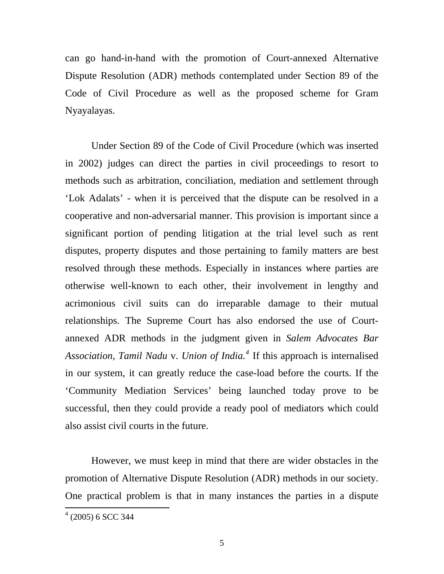can go hand-in-hand with the promotion of Court-annexed Alternative Dispute Resolution (ADR) methods contemplated under Section 89 of the Code of Civil Procedure as well as the proposed scheme for Gram Nyayalayas.

Under Section 89 of the Code of Civil Procedure (which was inserted in 2002) judges can direct the parties in civil proceedings to resort to methods such as arbitration, conciliation, mediation and settlement through 'Lok Adalats' - when it is perceived that the dispute can be resolved in a cooperative and non-adversarial manner. This provision is important since a significant portion of pending litigation at the trial level such as rent disputes, property disputes and those pertaining to family matters are best resolved through these methods. Especially in instances where parties are otherwise well-known to each other, their involvement in lengthy and acrimonious civil suits can do irreparable damage to their mutual relationships. The Supreme Court has also endorsed the use of Courtannexed ADR methods in the judgment given in *Salem Advocates Bar Association*, *Tamil Nadu* v. *Union of India.[4](#page-4-0)* If this approach is internalised in our system, it can greatly reduce the case-load before the courts. If the 'Community Mediation Services' being launched today prove to be successful, then they could provide a ready pool of mediators which could also assist civil courts in the future.

However, we must keep in mind that there are wider obstacles in the promotion of Alternative Dispute Resolution (ADR) methods in our society. One practical problem is that in many instances the parties in a dispute

<span id="page-4-0"></span> $4(2005)$  6 SCC 344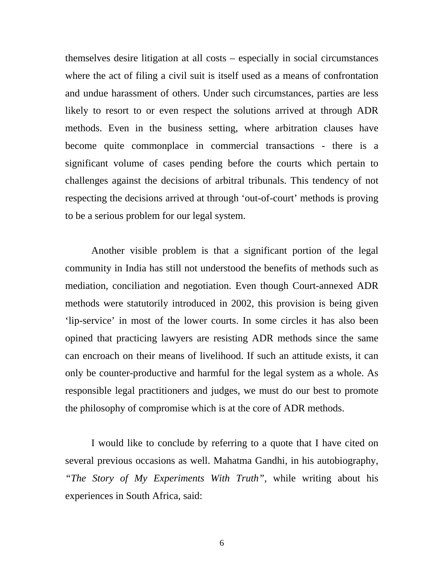themselves desire litigation at all costs – especially in social circumstances where the act of filing a civil suit is itself used as a means of confrontation and undue harassment of others. Under such circumstances, parties are less likely to resort to or even respect the solutions arrived at through ADR methods. Even in the business setting, where arbitration clauses have become quite commonplace in commercial transactions - there is a significant volume of cases pending before the courts which pertain to challenges against the decisions of arbitral tribunals. This tendency of not respecting the decisions arrived at through 'out-of-court' methods is proving to be a serious problem for our legal system.

Another visible problem is that a significant portion of the legal community in India has still not understood the benefits of methods such as mediation, conciliation and negotiation. Even though Court-annexed ADR methods were statutorily introduced in 2002, this provision is being given 'lip-service' in most of the lower courts. In some circles it has also been opined that practicing lawyers are resisting ADR methods since the same can encroach on their means of livelihood. If such an attitude exists, it can only be counter-productive and harmful for the legal system as a whole. As responsible legal practitioners and judges, we must do our best to promote the philosophy of compromise which is at the core of ADR methods.

I would like to conclude by referring to a quote that I have cited on several previous occasions as well. Mahatma Gandhi, in his autobiography, *"The Story of My Experiments With Truth",* while writing about his experiences in South Africa, said: